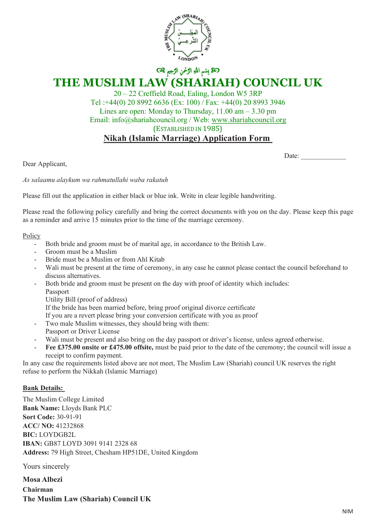

# ن الرَّحْمَنِ التَّحِيمِ &C **THE MUSLIM LAW (SHARIAH) COUNCIL UK**

20 – 22 Creffield Road, Ealing, London W5 3RP Tel :+44(0) 20 8992 6636 (Ex: 100) / Fax: +44(0) 20 8993 3946 Lines are open: Monday to Thursday,  $11.00 \text{ am} - 3.30 \text{ pm}$ Email: info@shariahcouncil.org / Web: www.shariahcouncil.org (ESTABLISHED IN 1985) **Nikah (Islamic Marriage) Application Form**

Date:

Dear Applicant,

*As salaamu alaykum wa rahmatullahi waba rakatuh* 

Please fill out the application in either black or blue ink. Write in clear legible handwriting.

Please read the following policy carefully and bring the correct documents with you on the day. Please keep this page as a reminder and arrive 15 minutes prior to the time of the marriage ceremony.

#### Policy

- Both bride and groom must be of marital age, in accordance to the British Law.
- Groom must be a Muslim
- Bride must be a Muslim or from Ahl Kitab
- Wali must be present at the time of ceremony, in any case he cannot please contact the council beforehand to discuss alternatives.
- Both bride and groom must be present on the day with proof of identity which includes: Passport
	- Utility Bill (proof of address)

If the bride has been married before, bring proof original divorce certificate

If you are a revert please bring your conversion certificate with you as proof

- Two male Muslim witnesses, they should bring with them:
- Passport or Driver License
- Wali must be present and also bring on the day passport or driver's license, unless agreed otherwise.
- Fee £375.00 onsite or £475.00 offsite, must be paid prior to the date of the ceremony; the council will issue a receipt to confirm payment.

In any case the requirements listed above are not meet, The Muslim Law (Shariah) council UK reserves the right refuse to perform the Nikkah (Islamic Marriage)

### **Bank Details:**

The Muslim College Limited **Donk Name:** Jacob Bank **Bank Name:** Lloyds Bank PLC **Pay Code:** 30-91-91 **IBAN:** GB87 LOYD 3091 9141 2328 68 **ACC/ NO:** 41232868 **BIC:** LOYDGB2L **Address:** 79 High Street, Chesham HP51DE, United Kingdom

Yours sincerely

**Mosa Albezi Chairman The Muslim Law (Shariah) Council UK**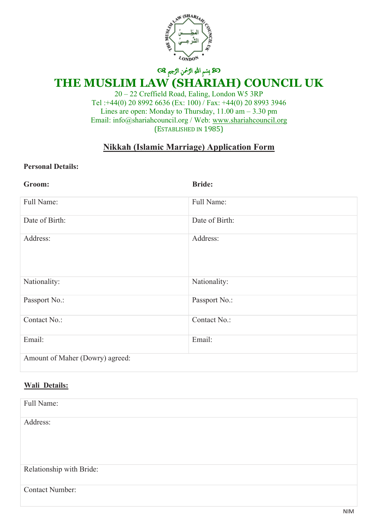

## ن الرَّحْمَنِ الرَّحْمَنِ الرَّحِيمِ & **THE MUSLIM LAW (SHARIAH) COUNCIL UK**

20 – 22 Creffield Road, Ealing, London W5 3RP Tel :+44(0) 20 8992 6636 (Ex: 100) / Fax: +44(0) 20 8993 3946 Lines are open: Monday to Thursday, 11.00 am – 3.30 pm Email: info@shariahcouncil.org / Web: www.shariahcouncil.org (ESTABLISHED IN 1985)

## **Nikkah (Islamic Marriage) Application Form**

### **Personal Details:**

| Groom:                          | <b>Bride:</b>  |
|---------------------------------|----------------|
| Full Name:                      | Full Name:     |
| Date of Birth:                  | Date of Birth: |
| Address:                        | Address:       |
| Nationality:                    | Nationality:   |
| Passport No.:                   | Passport No.:  |
| Contact No.:                    | Contact No.:   |
| Email:                          | Email:         |
| Amount of Maher (Dowry) agreed: |                |

### **Wali Details:**

| Full Name:               |
|--------------------------|
| Address:                 |
|                          |
|                          |
|                          |
| Relationship with Bride: |
| <b>Contact Number:</b>   |